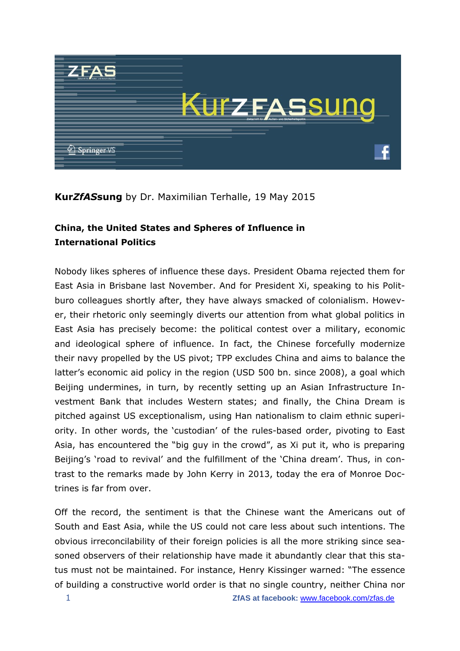

## **Kur***ZfAS***sung** by Dr. Maximilian Terhalle, 19 May 2015

## **China, the United States and Spheres of Influence in International Politics**

Nobody likes spheres of influence these days. President Obama rejected them for East Asia in Brisbane last November. And for President Xi, speaking to his Politburo colleagues shortly after, they have always smacked of colonialism. However, their rhetoric only seemingly diverts our attention from what global politics in East Asia has precisely become: the political contest over a military, economic and ideological sphere of influence. In fact, the Chinese forcefully modernize their navy propelled by the US pivot; TPP excludes China and aims to balance the latter's economic aid policy in the region (USD 500 bn. since 2008), a goal which Beijing undermines, in turn, by recently setting up an Asian Infrastructure Investment Bank that includes Western states; and finally, the China Dream is pitched against US exceptionalism, using Han nationalism to claim ethnic superiority. In other words, the 'custodian' of the rules-based order, pivoting to East Asia, has encountered the "big guy in the crowd", as Xi put it, who is preparing Beijing's 'road to revival' and the fulfillment of the 'China dream'. Thus, in contrast to the remarks made by John Kerry in 2013, today the era of Monroe Doctrines is far from over.

Off the record, the sentiment is that the Chinese want the Americans out of South and East Asia, while the US could not care less about such intentions. The obvious irreconcilability of their foreign policies is all the more striking since seasoned observers of their relationship have made it abundantly clear that this status must not be maintained. For instance, Henry Kissinger warned: "The essence of building a constructive world order is that no single country, neither China nor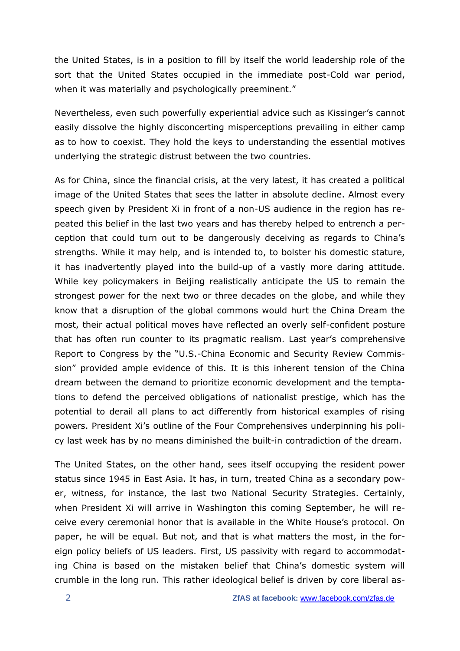the United States, is in a position to fill by itself the world leadership role of the sort that the United States occupied in the immediate post-Cold war period, when it was materially and psychologically preeminent."

Nevertheless, even such powerfully experiential advice such as Kissinger's cannot easily dissolve the highly disconcerting misperceptions prevailing in either camp as to how to coexist. They hold the keys to understanding the essential motives underlying the strategic distrust between the two countries.

As for China, since the financial crisis, at the very latest, it has created a political image of the United States that sees the latter in absolute decline. Almost every speech given by President Xi in front of a non-US audience in the region has repeated this belief in the last two years and has thereby helped to entrench a perception that could turn out to be dangerously deceiving as regards to China's strengths. While it may help, and is intended to, to bolster his domestic stature, it has inadvertently played into the build-up of a vastly more daring attitude. While key policymakers in Beijing realistically anticipate the US to remain the strongest power for the next two or three decades on the globe, and while they know that a disruption of the global commons would hurt the China Dream the most, their actual political moves have reflected an overly self-confident posture that has often run counter to its pragmatic realism. Last year's comprehensive Report to Congress by the "U.S.-China Economic and Security Review Commission" provided ample evidence of this. It is this inherent tension of the China dream between the demand to prioritize economic development and the temptations to defend the perceived obligations of nationalist prestige, which has the potential to derail all plans to act differently from historical examples of rising powers. President Xi's outline of the Four Comprehensives underpinning his policy last week has by no means diminished the built-in contradiction of the dream.

The United States, on the other hand, sees itself occupying the resident power status since 1945 in East Asia. It has, in turn, treated China as a secondary power, witness, for instance, the last two National Security Strategies. Certainly, when President Xi will arrive in Washington this coming September, he will receive every ceremonial honor that is available in the White House's protocol. On paper, he will be equal. But not, and that is what matters the most, in the foreign policy beliefs of US leaders. First, US passivity with regard to accommodating China is based on the mistaken belief that China's domestic system will crumble in the long run. This rather ideological belief is driven by core liberal as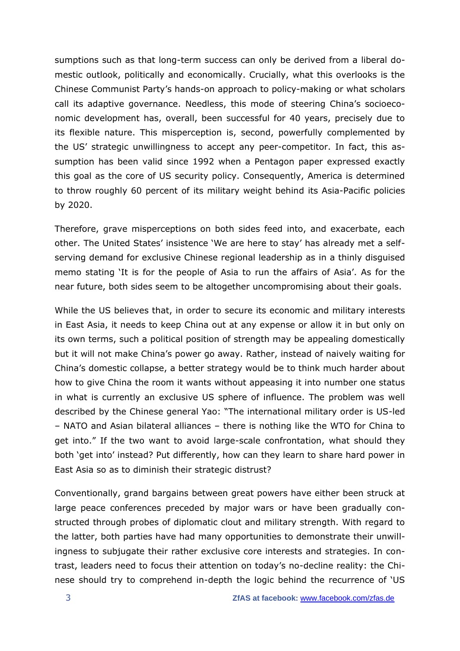sumptions such as that long-term success can only be derived from a liberal domestic outlook, politically and economically. Crucially, what this overlooks is the Chinese Communist Party's hands-on approach to policy-making or what scholars call its adaptive governance. Needless, this mode of steering China's socioeconomic development has, overall, been successful for 40 years, precisely due to its flexible nature. This misperception is, second, powerfully complemented by the US' strategic unwillingness to accept any peer-competitor. In fact, this assumption has been valid since 1992 when a Pentagon paper expressed exactly this goal as the core of US security policy. Consequently, America is determined to throw roughly 60 percent of its military weight behind its Asia-Pacific policies by 2020.

Therefore, grave misperceptions on both sides feed into, and exacerbate, each other. The United States' insistence 'We are here to stay' has already met a selfserving demand for exclusive Chinese regional leadership as in a thinly disguised memo stating 'It is for the people of Asia to run the affairs of Asia'. As for the near future, both sides seem to be altogether uncompromising about their goals.

While the US believes that, in order to secure its economic and military interests in East Asia, it needs to keep China out at any expense or allow it in but only on its own terms, such a political position of strength may be appealing domestically but it will not make China's power go away. Rather, instead of naively waiting for China's domestic collapse, a better strategy would be to think much harder about how to give China the room it wants without appeasing it into number one status in what is currently an exclusive US sphere of influence. The problem was well described by the Chinese general Yao: "The international military order is US-led – NATO and Asian bilateral alliances – there is nothing like the WTO for China to get into." If the two want to avoid large-scale confrontation, what should they both 'get into' instead? Put differently, how can they learn to share hard power in East Asia so as to diminish their strategic distrust?

Conventionally, grand bargains between great powers have either been struck at large peace conferences preceded by major wars or have been gradually constructed through probes of diplomatic clout and military strength. With regard to the latter, both parties have had many opportunities to demonstrate their unwillingness to subjugate their rather exclusive core interests and strategies. In contrast, leaders need to focus their attention on today's no-decline reality: the Chinese should try to comprehend in-depth the logic behind the recurrence of 'US